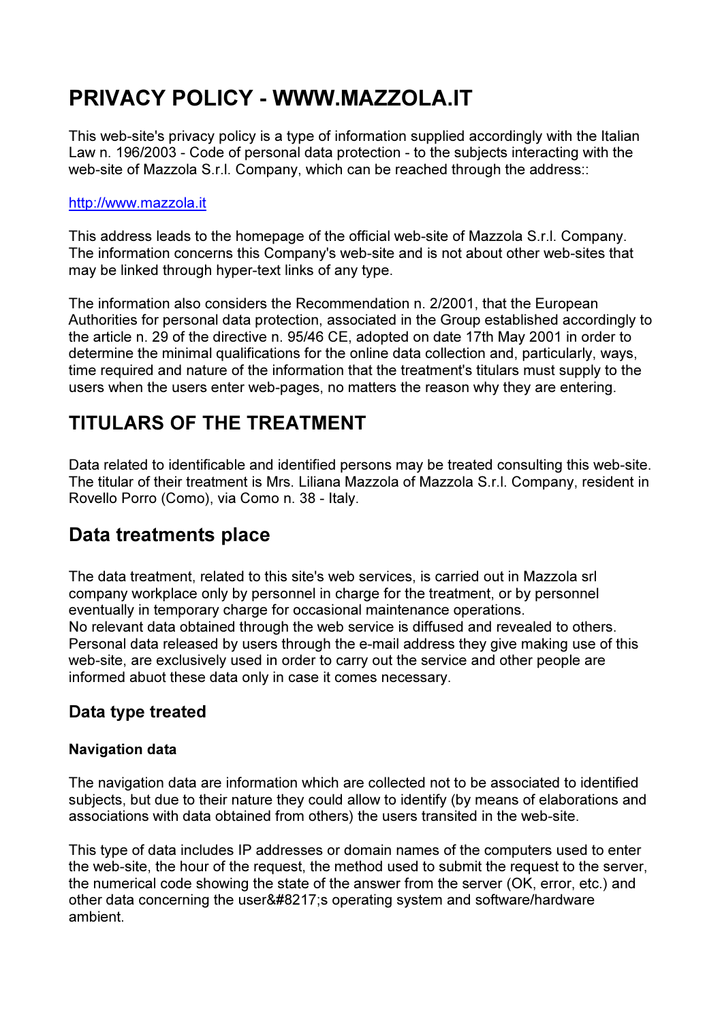# PRIVACY POLICY - WWW.MAZZOLA.IT

This web-site's privacy policy is a type of information supplied accordingly with the Italian Law n. 196/2003 - Code of personal data protection - to the subjects interacting with the web-site of Mazzola S.r.l. Company, which can be reached through the address::

#### http://www.mazzola.it

This address leads to the homepage of the official web-site of Mazzola S.r.l. Company. The information concerns this Company's web-site and is not about other web-sites that may be linked through hyper-text links of any type.

The information also considers the Recommendation n. 2/2001, that the European Authorities for personal data protection, associated in the Group established accordingly to the article n. 29 of the directive n. 95/46 CE, adopted on date 17th May 2001 in order to determine the minimal qualifications for the online data collection and, particularly, ways, time required and nature of the information that the treatment's titulars must supply to the users when the users enter web-pages, no matters the reason why they are entering.

## TITULARS OF THE TREATMENT

Data related to identificable and identified persons may be treated consulting this web-site. The titular of their treatment is Mrs. Liliana Mazzola of Mazzola S.r.l. Company, resident in Rovello Porro (Como), via Como n. 38 - Italy.

### Data treatments place

The data treatment, related to this site's web services, is carried out in Mazzola srl company workplace only by personnel in charge for the treatment, or by personnel eventually in temporary charge for occasional maintenance operations. No relevant data obtained through the web service is diffused and revealed to others. Personal data released by users through the e-mail address they give making use of this web-site, are exclusively used in order to carry out the service and other people are informed abuot these data only in case it comes necessary.

### Data type treated

#### Navigation data

The navigation data are information which are collected not to be associated to identified subjects, but due to their nature they could allow to identify (by means of elaborations and associations with data obtained from others) the users transited in the web-site.

This type of data includes IP addresses or domain names of the computers used to enter the web-site, the hour of the request, the method used to submit the request to the server, the numerical code showing the state of the answer from the server (OK, error, etc.) and other data concerning the user ' s operating system and software/hardware ambient.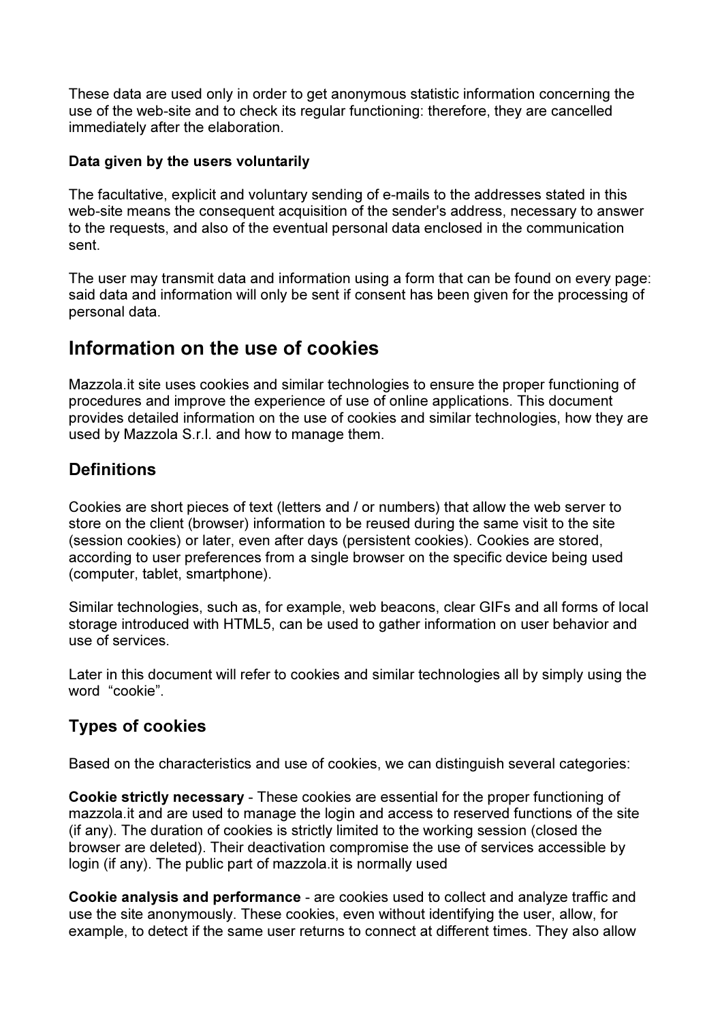These data are used only in order to get anonymous statistic information concerning the use of the web-site and to check its regular functioning: therefore, they are cancelled immediately after the elaboration.

#### Data given by the users voluntarily

The facultative, explicit and voluntary sending of e-mails to the addresses stated in this web-site means the consequent acquisition of the sender's address, necessary to answer to the requests, and also of the eventual personal data enclosed in the communication sent.

The user may transmit data and information using a form that can be found on every page: said data and information will only be sent if consent has been given for the processing of personal data.

### Information on the use of cookies

Mazzola.it site uses cookies and similar technologies to ensure the proper functioning of procedures and improve the experience of use of online applications. This document provides detailed information on the use of cookies and similar technologies, how they are used by Mazzola S.r.l. and how to manage them.

### **Definitions**

Cookies are short pieces of text (letters and / or numbers) that allow the web server to store on the client (browser) information to be reused during the same visit to the site (session cookies) or later, even after days (persistent cookies). Cookies are stored, according to user preferences from a single browser on the specific device being used (computer, tablet, smartphone).

Similar technologies, such as, for example, web beacons, clear GIFs and all forms of local storage introduced with HTML5, can be used to gather information on user behavior and use of services.

Later in this document will refer to cookies and similar technologies all by simply using the word "cookie".

### Types of cookies

Based on the characteristics and use of cookies, we can distinguish several categories:

Cookie strictly necessary - These cookies are essential for the proper functioning of mazzola.it and are used to manage the login and access to reserved functions of the site (if any). The duration of cookies is strictly limited to the working session (closed the browser are deleted). Their deactivation compromise the use of services accessible by login (if any). The public part of mazzola.it is normally used

Cookie analysis and performance - are cookies used to collect and analyze traffic and use the site anonymously. These cookies, even without identifying the user, allow, for example, to detect if the same user returns to connect at different times. They also allow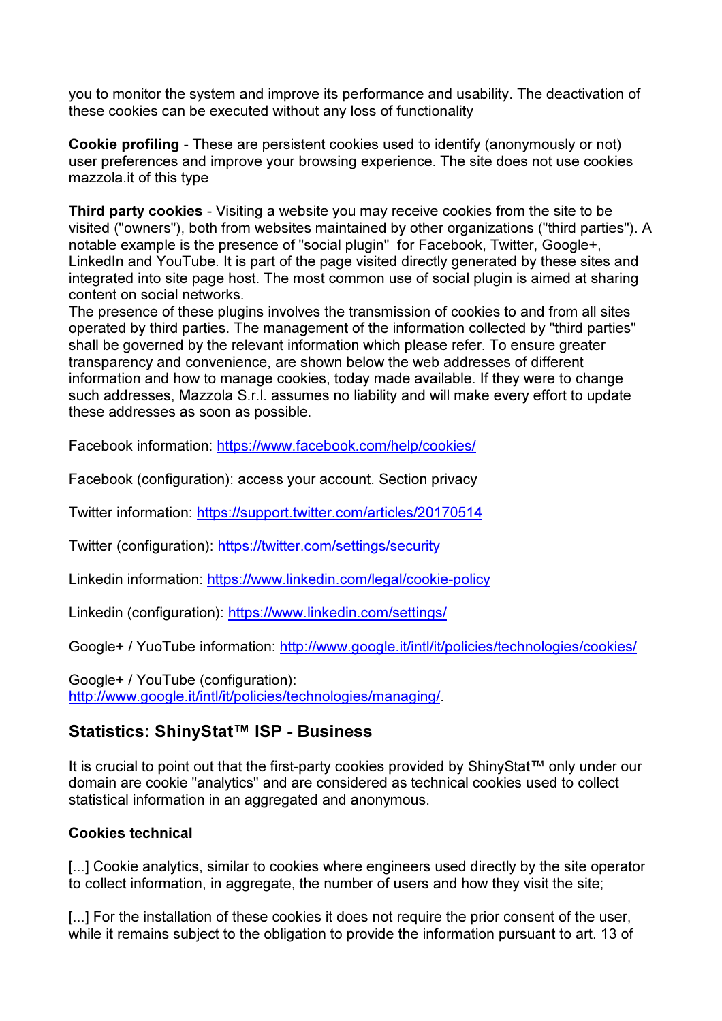you to monitor the system and improve its performance and usability. The deactivation of these cookies can be executed without any loss of functionality

Cookie profiling - These are persistent cookies used to identify (anonymously or not) user preferences and improve your browsing experience. The site does not use cookies mazzola.it of this type

Third party cookies - Visiting a website you may receive cookies from the site to be visited ("owners"), both from websites maintained by other organizations ("third parties"). A notable example is the presence of "social plugin" for Facebook, Twitter, Google+, LinkedIn and YouTube. It is part of the page visited directly generated by these sites and integrated into site page host. The most common use of social plugin is aimed at sharing content on social networks.

The presence of these plugins involves the transmission of cookies to and from all sites operated by third parties. The management of the information collected by "third parties" shall be governed by the relevant information which please refer. To ensure greater transparency and convenience, are shown below the web addresses of different information and how to manage cookies, today made available. If they were to change such addresses, Mazzola S.r.l. assumes no liability and will make every effort to update these addresses as soon as possible.

Facebook information: https://www.facebook.com/help/cookies/

Facebook (configuration): access your account. Section privacy

Twitter information: https://support.twitter.com/articles/20170514

Twitter (configuration): https://twitter.com/settings/security

Linkedin information: https://www.linkedin.com/legal/cookie-policy

Linkedin (configuration): https://www.linkedin.com/settings/

Google+ / YuoTube information: http://www.google.it/intl/it/policies/technologies/cookies/

Google+ / YouTube (configuration): http://www.google.it/intl/it/policies/technologies/managing/.

#### Statistics: ShinyStat™ ISP - Business

It is crucial to point out that the first-party cookies provided by ShinyStat™ only under our domain are cookie "analytics" and are considered as technical cookies used to collect statistical information in an aggregated and anonymous.

#### Cookies technical

[...] Cookie analytics, similar to cookies where engineers used directly by the site operator to collect information, in aggregate, the number of users and how they visit the site;

[...] For the installation of these cookies it does not require the prior consent of the user, while it remains subject to the obligation to provide the information pursuant to art. 13 of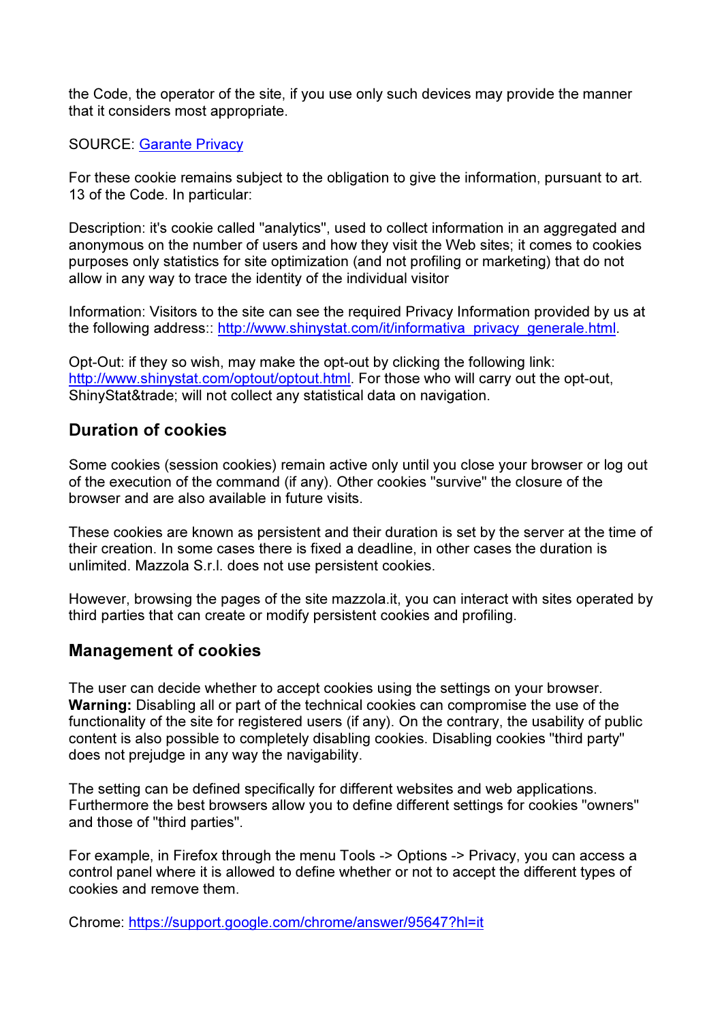the Code, the operator of the site, if you use only such devices may provide the manner that it considers most appropriate.

#### SOURCE: Garante Privacy

For these cookie remains subject to the obligation to give the information, pursuant to art. 13 of the Code. In particular:

Description: it's cookie called "analytics", used to collect information in an aggregated and anonymous on the number of users and how they visit the Web sites; it comes to cookies purposes only statistics for site optimization (and not profiling or marketing) that do not allow in any way to trace the identity of the individual visitor

Information: Visitors to the site can see the required Privacy Information provided by us at the following address:: http://www.shinystat.com/it/informativa\_privacy\_generale.html.

Opt-Out: if they so wish, may make the opt-out by clicking the following link: http://www.shinystat.com/optout/optout.html. For those who will carry out the opt-out, ShinyStat&trade: will not collect any statistical data on navigation.

### Duration of cookies

Some cookies (session cookies) remain active only until you close your browser or log out of the execution of the command (if any). Other cookies "survive" the closure of the browser and are also available in future visits.

These cookies are known as persistent and their duration is set by the server at the time of their creation. In some cases there is fixed a deadline, in other cases the duration is unlimited. Mazzola S.r.l. does not use persistent cookies.

However, browsing the pages of the site mazzola.it, you can interact with sites operated by third parties that can create or modify persistent cookies and profiling.

#### Management of cookies

The user can decide whether to accept cookies using the settings on your browser. Warning: Disabling all or part of the technical cookies can compromise the use of the functionality of the site for registered users (if any). On the contrary, the usability of public content is also possible to completely disabling cookies. Disabling cookies "third party" does not prejudge in any way the navigability.

The setting can be defined specifically for different websites and web applications. Furthermore the best browsers allow you to define different settings for cookies "owners" and those of "third parties".

For example, in Firefox through the menu Tools -> Options -> Privacy, you can access a control panel where it is allowed to define whether or not to accept the different types of cookies and remove them.

Chrome: https://support.google.com/chrome/answer/95647?hl=it